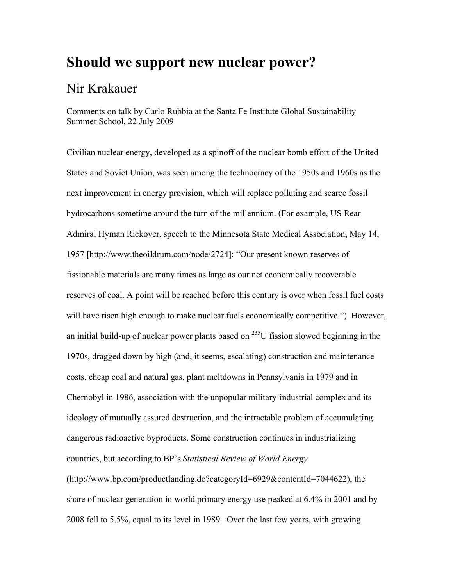# **Should we support new nuclear power?**

# Nir Krakauer

Comments on talk by Carlo Rubbia at the Santa Fe Institute Global Sustainability Summer School, 22 July 2009

Civilian nuclear energy, developed as a spinoff of the nuclear bomb effort of the United States and Soviet Union, was seen among the technocracy of the 1950s and 1960s as the next improvement in energy provision, which will replace polluting and scarce fossil hydrocarbons sometime around the turn of the millennium. (For example, US Rear Admiral Hyman Rickover, speech to the Minnesota State Medical Association, May 14, 1957 [http://www.theoildrum.com/node/2724]: "Our present known reserves of fissionable materials are many times as large as our net economically recoverable reserves of coal. A point will be reached before this century is over when fossil fuel costs will have risen high enough to make nuclear fuels economically competitive.") However, an initial build-up of nuclear power plants based on  $^{235}$ U fission slowed beginning in the 1970s, dragged down by high (and, it seems, escalating) construction and maintenance costs, cheap coal and natural gas, plant meltdowns in Pennsylvania in 1979 and in Chernobyl in 1986, association with the unpopular military-industrial complex and its ideology of mutually assured destruction, and the intractable problem of accumulating dangerous radioactive byproducts. Some construction continues in industrializing countries, but according to BP's *Statistical Review of World Energy* (http://www.bp.com/productlanding.do?categoryId=6929&contentId=7044622), the share of nuclear generation in world primary energy use peaked at 6.4% in 2001 and by 2008 fell to 5.5%, equal to its level in 1989. Over the last few years, with growing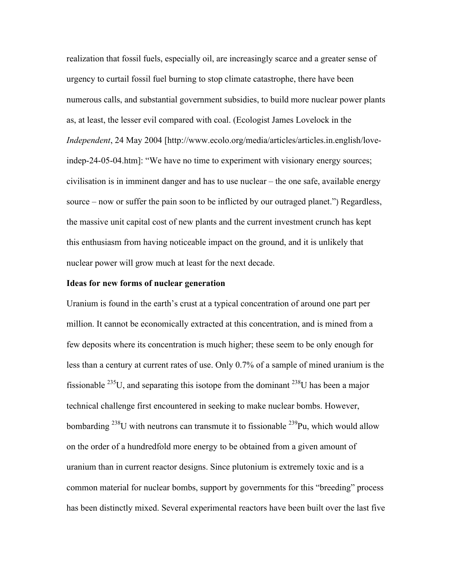realization that fossil fuels, especially oil, are increasingly scarce and a greater sense of urgency to curtail fossil fuel burning to stop climate catastrophe, there have been numerous calls, and substantial government subsidies, to build more nuclear power plants as, at least, the lesser evil compared with coal. (Ecologist James Lovelock in the *Independent*, 24 May 2004 [http://www.ecolo.org/media/articles/articles.in.english/loveindep-24-05-04.htm]: "We have no time to experiment with visionary energy sources; civilisation is in imminent danger and has to use nuclear – the one safe, available energy source – now or suffer the pain soon to be inflicted by our outraged planet.") Regardless, the massive unit capital cost of new plants and the current investment crunch has kept this enthusiasm from having noticeable impact on the ground, and it is unlikely that nuclear power will grow much at least for the next decade.

#### **Ideas for new forms of nuclear generation**

Uranium is found in the earth's crust at a typical concentration of around one part per million. It cannot be economically extracted at this concentration, and is mined from a few deposits where its concentration is much higher; these seem to be only enough for less than a century at current rates of use. Only 0.7% of a sample of mined uranium is the fissionable  $^{235}$ U, and separating this isotope from the dominant  $^{238}$ U has been a major technical challenge first encountered in seeking to make nuclear bombs. However, bombarding  $^{238}$ U with neutrons can transmute it to fissionable  $^{239}$ Pu, which would allow on the order of a hundredfold more energy to be obtained from a given amount of uranium than in current reactor designs. Since plutonium is extremely toxic and is a common material for nuclear bombs, support by governments for this "breeding" process has been distinctly mixed. Several experimental reactors have been built over the last five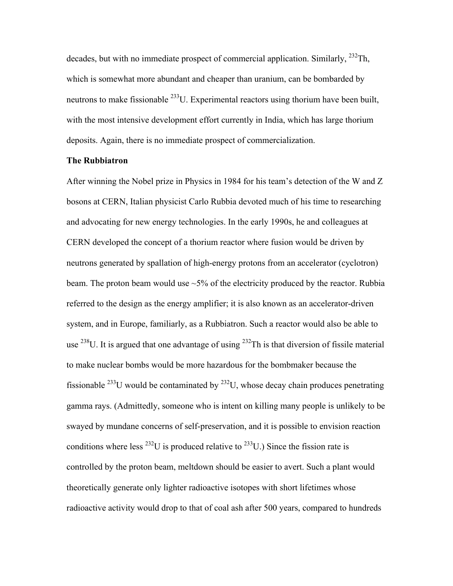decades, but with no immediate prospect of commercial application. Similarly,  $^{232}$ Th, which is somewhat more abundant and cheaper than uranium, can be bombarded by neutrons to make fissionable  $^{233}$ U. Experimental reactors using thorium have been built, with the most intensive development effort currently in India, which has large thorium deposits. Again, there is no immediate prospect of commercialization.

## **The Rubbiatron**

After winning the Nobel prize in Physics in 1984 for his team's detection of the W and Z bosons at CERN, Italian physicist Carlo Rubbia devoted much of his time to researching and advocating for new energy technologies. In the early 1990s, he and colleagues at CERN developed the concept of a thorium reactor where fusion would be driven by neutrons generated by spallation of high-energy protons from an accelerator (cyclotron) beam. The proton beam would use  $\sim$ 5% of the electricity produced by the reactor. Rubbia referred to the design as the energy amplifier; it is also known as an accelerator-driven system, and in Europe, familiarly, as a Rubbiatron. Such a reactor would also be able to use  $^{238}$ U. It is argued that one advantage of using  $^{232}$ Th is that diversion of fissile material to make nuclear bombs would be more hazardous for the bombmaker because the fissionable  $^{233}$ U would be contaminated by  $^{232}$ U, whose decay chain produces penetrating gamma rays. (Admittedly, someone who is intent on killing many people is unlikely to be swayed by mundane concerns of self-preservation, and it is possible to envision reaction conditions where less  $^{232}U$  is produced relative to  $^{233}U$ .) Since the fission rate is controlled by the proton beam, meltdown should be easier to avert. Such a plant would theoretically generate only lighter radioactive isotopes with short lifetimes whose radioactive activity would drop to that of coal ash after 500 years, compared to hundreds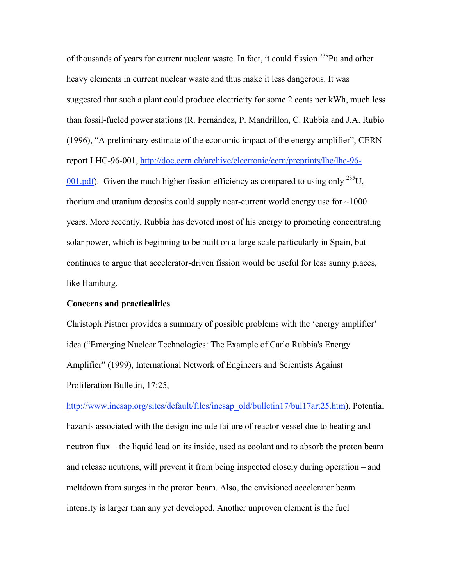of thousands of years for current nuclear waste. In fact, it could fission <sup>239</sup>Pu and other heavy elements in current nuclear waste and thus make it less dangerous. It was suggested that such a plant could produce electricity for some 2 cents per kWh, much less than fossil-fueled power stations (R. Fernández, P. Mandrillon, C. Rubbia and J.A. Rubio (1996), "A preliminary estimate of the economic impact of the energy amplifier", CERN report LHC-96-001, http://doc.cern.ch/archive/electronic/cern/preprints/lhc/lhc-96-  $001$  pdf). Given the much higher fission efficiency as compared to using only <sup>235</sup>U, thorium and uranium deposits could supply near-current world energy use for  $\sim$ 1000 years. More recently, Rubbia has devoted most of his energy to promoting concentrating solar power, which is beginning to be built on a large scale particularly in Spain, but continues to argue that accelerator-driven fission would be useful for less sunny places, like Hamburg.

## **Concerns and practicalities**

Christoph Pistner provides a summary of possible problems with the 'energy amplifier' idea ("Emerging Nuclear Technologies: The Example of Carlo Rubbia's Energy Amplifier" (1999), International Network of Engineers and Scientists Against Proliferation Bulletin, 17:25,

http://www.inesap.org/sites/default/files/inesap\_old/bulletin17/bul17art25.htm). Potential hazards associated with the design include failure of reactor vessel due to heating and neutron flux – the liquid lead on its inside, used as coolant and to absorb the proton beam and release neutrons, will prevent it from being inspected closely during operation – and meltdown from surges in the proton beam. Also, the envisioned accelerator beam intensity is larger than any yet developed. Another unproven element is the fuel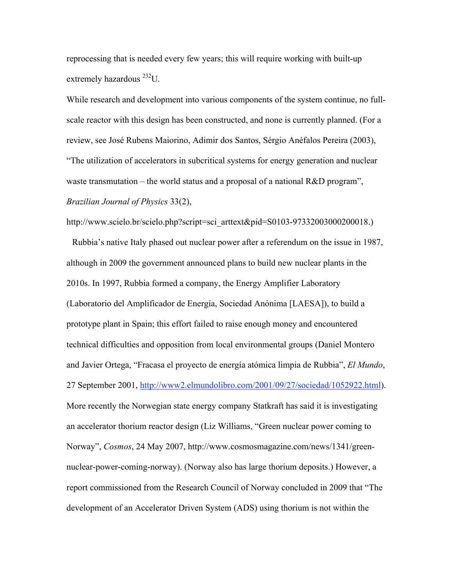reprocessing that is needed every few years; this will require working with built-up extremely hazardous 232U.

While research and development into various components of the system continue, no fullscale reactor with this design has been constructed, and none is currently planned. (For a review, see José Rubens Maiorino, Adimir dos Santos, Sérgio Anéfalos Pereira (2003), "The utilization of accelerators in subcritical systems for energy generation and nuclear waste transmutation – the world status and a proposal of a national R&D program", *Brazilian Journal of Physics* 33(2),

http://www.scielo.br/scielo.php?script=sci\_arttext&pid=S0103-97332003000200018.)

 Rubbia's native Italy phased out nuclear power after a referendum on the issue in 1987, although in 2009 the government announced plans to build new nuclear plants in the 2010s. In 1997, Rubbia formed a company, the Energy Amplifier Laboratory (Laboratorio del Amplificador de Energía, Sociedad Anónima [LAESA]), to build a prototype plant in Spain; this effort failed to raise enough money and encountered technical difficulties and opposition from local environmental groups (Daniel Montero and Javier Ortega, "Fracasa el proyecto de energía atómica limpia de Rubbia", *El Mundo*, 27 September 2001, http://www2.elmundolibro.com/2001/09/27/sociedad/1052922.html). More recently the Norwegian state energy company Statkraft has said it is investigating an accelerator thorium reactor design (Liz Williams, "Green nuclear power coming to Norway", *Cosmos*, 24 May 2007, http://www.cosmosmagazine.com/news/1341/greennuclear-power-coming-norway). (Norway also has large thorium deposits.) However, a report commissioned from the Research Council of Norway concluded in 2009 that "The development of an Accelerator Driven System (ADS) using thorium is not within the